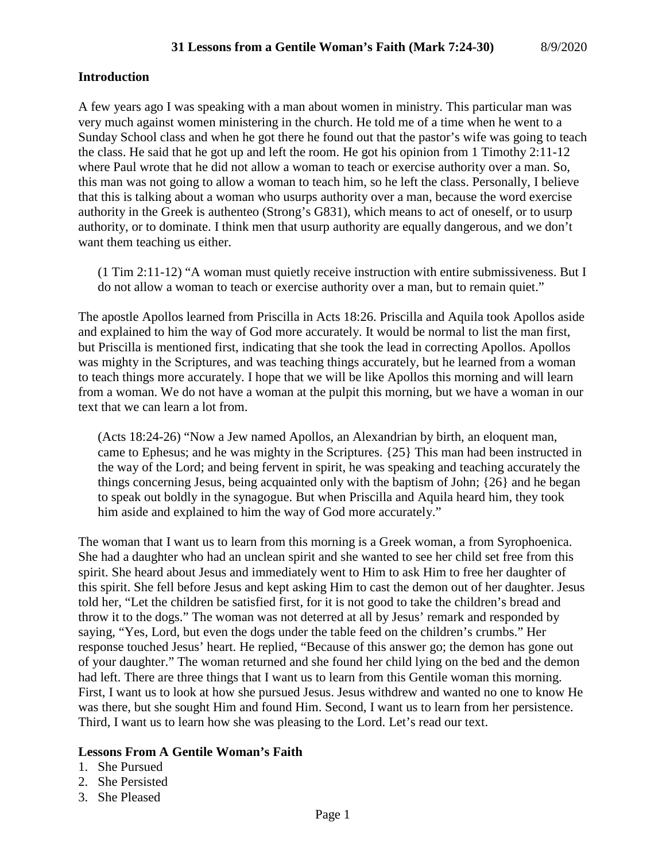#### **Introduction**

A few years ago I was speaking with a man about women in ministry. This particular man was very much against women ministering in the church. He told me of a time when he went to a Sunday School class and when he got there he found out that the pastor's wife was going to teach the class. He said that he got up and left the room. He got his opinion from 1 Timothy 2:11-12 where Paul wrote that he did not allow a woman to teach or exercise authority over a man. So, this man was not going to allow a woman to teach him, so he left the class. Personally, I believe that this is talking about a woman who usurps authority over a man, because the word exercise authority in the Greek is authenteo (Strong's G831), which means to act of oneself, or to usurp authority, or to dominate. I think men that usurp authority are equally dangerous, and we don't want them teaching us either.

(1 Tim 2:11-12) "A woman must quietly receive instruction with entire submissiveness. But I do not allow a woman to teach or exercise authority over a man, but to remain quiet."

The apostle Apollos learned from Priscilla in Acts 18:26. Priscilla and Aquila took Apollos aside and explained to him the way of God more accurately. It would be normal to list the man first, but Priscilla is mentioned first, indicating that she took the lead in correcting Apollos. Apollos was mighty in the Scriptures, and was teaching things accurately, but he learned from a woman to teach things more accurately. I hope that we will be like Apollos this morning and will learn from a woman. We do not have a woman at the pulpit this morning, but we have a woman in our text that we can learn a lot from.

(Acts 18:24-26) "Now a Jew named Apollos, an Alexandrian by birth, an eloquent man, came to Ephesus; and he was mighty in the Scriptures. {25} This man had been instructed in the way of the Lord; and being fervent in spirit, he was speaking and teaching accurately the things concerning Jesus, being acquainted only with the baptism of John; {26} and he began to speak out boldly in the synagogue. But when Priscilla and Aquila heard him, they took him aside and explained to him the way of God more accurately."

The woman that I want us to learn from this morning is a Greek woman, a from Syrophoenica. She had a daughter who had an unclean spirit and she wanted to see her child set free from this spirit. She heard about Jesus and immediately went to Him to ask Him to free her daughter of this spirit. She fell before Jesus and kept asking Him to cast the demon out of her daughter. Jesus told her, "Let the children be satisfied first, for it is not good to take the children's bread and throw it to the dogs." The woman was not deterred at all by Jesus' remark and responded by saying, "Yes, Lord, but even the dogs under the table feed on the children's crumbs." Her response touched Jesus' heart. He replied, "Because of this answer go; the demon has gone out of your daughter." The woman returned and she found her child lying on the bed and the demon had left. There are three things that I want us to learn from this Gentile woman this morning. First, I want us to look at how she pursued Jesus. Jesus withdrew and wanted no one to know He was there, but she sought Him and found Him. Second, I want us to learn from her persistence. Third, I want us to learn how she was pleasing to the Lord. Let's read our text.

# **Lessons From A Gentile Woman's Faith**

- 1. She Pursued
- 2. She Persisted
- 3. She Pleased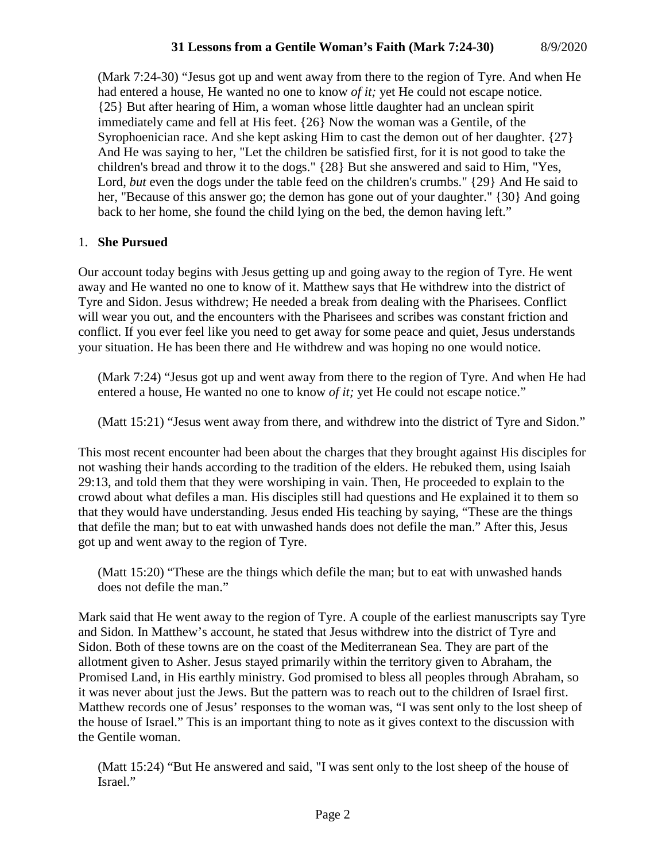# **31 Lessons from a Gentile Woman's Faith (Mark 7:24-30)** 8/9/2020

(Mark 7:24-30) "Jesus got up and went away from there to the region of Tyre. And when He had entered a house, He wanted no one to know *of it;* yet He could not escape notice. {25} But after hearing of Him, a woman whose little daughter had an unclean spirit immediately came and fell at His feet. {26} Now the woman was a Gentile, of the Syrophoenician race. And she kept asking Him to cast the demon out of her daughter. {27} And He was saying to her, "Let the children be satisfied first, for it is not good to take the children's bread and throw it to the dogs." {28} But she answered and said to Him, "Yes, Lord, *but* even the dogs under the table feed on the children's crumbs." {29} And He said to her, "Because of this answer go; the demon has gone out of your daughter." {30} And going back to her home, she found the child lying on the bed, the demon having left."

# 1. **She Pursued**

Our account today begins with Jesus getting up and going away to the region of Tyre. He went away and He wanted no one to know of it. Matthew says that He withdrew into the district of Tyre and Sidon. Jesus withdrew; He needed a break from dealing with the Pharisees. Conflict will wear you out, and the encounters with the Pharisees and scribes was constant friction and conflict. If you ever feel like you need to get away for some peace and quiet, Jesus understands your situation. He has been there and He withdrew and was hoping no one would notice.

(Mark 7:24) "Jesus got up and went away from there to the region of Tyre. And when He had entered a house, He wanted no one to know *of it;* yet He could not escape notice."

(Matt 15:21) "Jesus went away from there, and withdrew into the district of Tyre and Sidon."

This most recent encounter had been about the charges that they brought against His disciples for not washing their hands according to the tradition of the elders. He rebuked them, using Isaiah 29:13, and told them that they were worshiping in vain. Then, He proceeded to explain to the crowd about what defiles a man. His disciples still had questions and He explained it to them so that they would have understanding. Jesus ended His teaching by saying, "These are the things that defile the man; but to eat with unwashed hands does not defile the man." After this, Jesus got up and went away to the region of Tyre.

(Matt 15:20) "These are the things which defile the man; but to eat with unwashed hands does not defile the man."

Mark said that He went away to the region of Tyre. A couple of the earliest manuscripts say Tyre and Sidon. In Matthew's account, he stated that Jesus withdrew into the district of Tyre and Sidon. Both of these towns are on the coast of the Mediterranean Sea. They are part of the allotment given to Asher. Jesus stayed primarily within the territory given to Abraham, the Promised Land, in His earthly ministry. God promised to bless all peoples through Abraham, so it was never about just the Jews. But the pattern was to reach out to the children of Israel first. Matthew records one of Jesus' responses to the woman was, "I was sent only to the lost sheep of the house of Israel." This is an important thing to note as it gives context to the discussion with the Gentile woman.

(Matt 15:24) "But He answered and said, "I was sent only to the lost sheep of the house of Israel."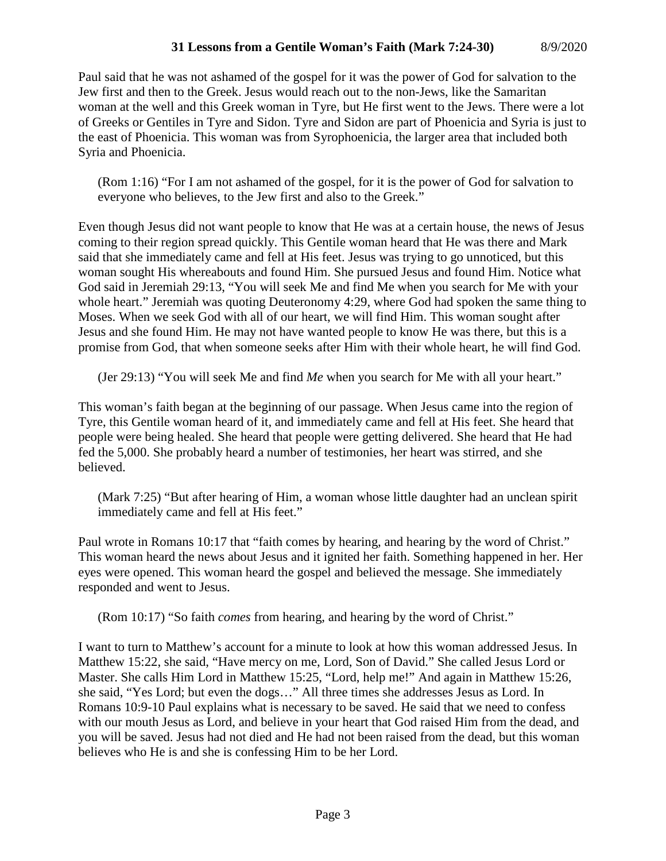# **31 Lessons from a Gentile Woman's Faith (Mark 7:24-30)** 8/9/2020

Paul said that he was not ashamed of the gospel for it was the power of God for salvation to the Jew first and then to the Greek. Jesus would reach out to the non-Jews, like the Samaritan woman at the well and this Greek woman in Tyre, but He first went to the Jews. There were a lot of Greeks or Gentiles in Tyre and Sidon. Tyre and Sidon are part of Phoenicia and Syria is just to the east of Phoenicia. This woman was from Syrophoenicia, the larger area that included both Syria and Phoenicia.

(Rom 1:16) "For I am not ashamed of the gospel, for it is the power of God for salvation to everyone who believes, to the Jew first and also to the Greek."

Even though Jesus did not want people to know that He was at a certain house, the news of Jesus coming to their region spread quickly. This Gentile woman heard that He was there and Mark said that she immediately came and fell at His feet. Jesus was trying to go unnoticed, but this woman sought His whereabouts and found Him. She pursued Jesus and found Him. Notice what God said in Jeremiah 29:13, "You will seek Me and find Me when you search for Me with your whole heart." Jeremiah was quoting Deuteronomy 4:29, where God had spoken the same thing to Moses. When we seek God with all of our heart, we will find Him. This woman sought after Jesus and she found Him. He may not have wanted people to know He was there, but this is a promise from God, that when someone seeks after Him with their whole heart, he will find God.

(Jer 29:13) "You will seek Me and find *Me* when you search for Me with all your heart."

This woman's faith began at the beginning of our passage. When Jesus came into the region of Tyre, this Gentile woman heard of it, and immediately came and fell at His feet. She heard that people were being healed. She heard that people were getting delivered. She heard that He had fed the 5,000. She probably heard a number of testimonies, her heart was stirred, and she believed.

(Mark 7:25) "But after hearing of Him, a woman whose little daughter had an unclean spirit immediately came and fell at His feet."

Paul wrote in Romans 10:17 that "faith comes by hearing, and hearing by the word of Christ." This woman heard the news about Jesus and it ignited her faith. Something happened in her. Her eyes were opened. This woman heard the gospel and believed the message. She immediately responded and went to Jesus.

(Rom 10:17) "So faith *comes* from hearing, and hearing by the word of Christ."

I want to turn to Matthew's account for a minute to look at how this woman addressed Jesus. In Matthew 15:22, she said, "Have mercy on me, Lord, Son of David." She called Jesus Lord or Master. She calls Him Lord in Matthew 15:25, "Lord, help me!" And again in Matthew 15:26, she said, "Yes Lord; but even the dogs…" All three times she addresses Jesus as Lord. In Romans 10:9-10 Paul explains what is necessary to be saved. He said that we need to confess with our mouth Jesus as Lord, and believe in your heart that God raised Him from the dead, and you will be saved. Jesus had not died and He had not been raised from the dead, but this woman believes who He is and she is confessing Him to be her Lord.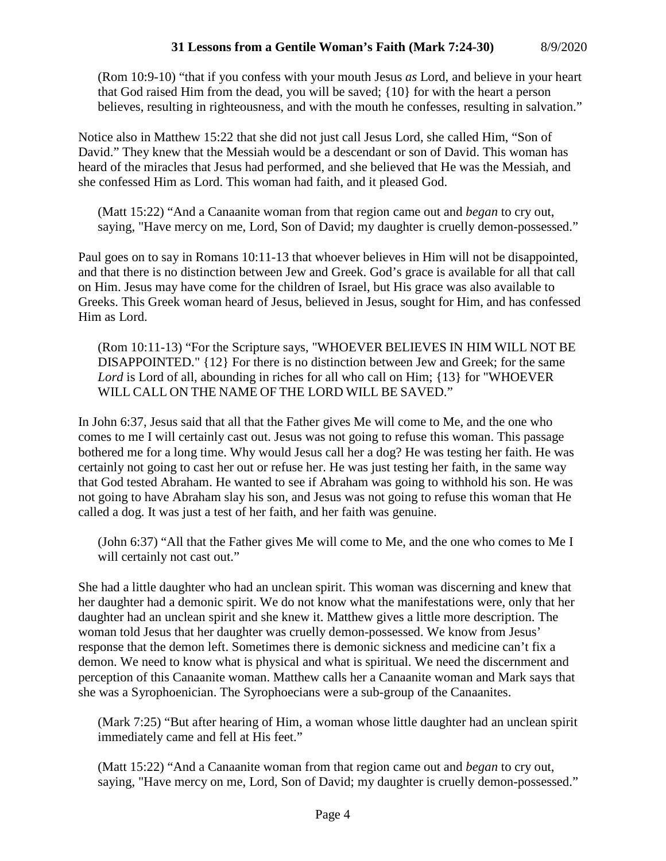(Rom 10:9-10) "that if you confess with your mouth Jesus *as* Lord, and believe in your heart that God raised Him from the dead, you will be saved; {10} for with the heart a person believes, resulting in righteousness, and with the mouth he confesses, resulting in salvation."

Notice also in Matthew 15:22 that she did not just call Jesus Lord, she called Him, "Son of David." They knew that the Messiah would be a descendant or son of David. This woman has heard of the miracles that Jesus had performed, and she believed that He was the Messiah, and she confessed Him as Lord. This woman had faith, and it pleased God.

(Matt 15:22) "And a Canaanite woman from that region came out and *began* to cry out, saying, "Have mercy on me, Lord, Son of David; my daughter is cruelly demon-possessed."

Paul goes on to say in Romans 10:11-13 that whoever believes in Him will not be disappointed, and that there is no distinction between Jew and Greek. God's grace is available for all that call on Him. Jesus may have come for the children of Israel, but His grace was also available to Greeks. This Greek woman heard of Jesus, believed in Jesus, sought for Him, and has confessed Him as Lord.

(Rom 10:11-13) "For the Scripture says, "WHOEVER BELIEVES IN HIM WILL NOT BE DISAPPOINTED." {12} For there is no distinction between Jew and Greek; for the same *Lord* is Lord of all, abounding in riches for all who call on Him; {13} for "WHOEVER WILL CALL ON THE NAME OF THE LORD WILL BE SAVED."

In John 6:37, Jesus said that all that the Father gives Me will come to Me, and the one who comes to me I will certainly cast out. Jesus was not going to refuse this woman. This passage bothered me for a long time. Why would Jesus call her a dog? He was testing her faith. He was certainly not going to cast her out or refuse her. He was just testing her faith, in the same way that God tested Abraham. He wanted to see if Abraham was going to withhold his son. He was not going to have Abraham slay his son, and Jesus was not going to refuse this woman that He called a dog. It was just a test of her faith, and her faith was genuine.

(John 6:37) "All that the Father gives Me will come to Me, and the one who comes to Me I will certainly not cast out."

She had a little daughter who had an unclean spirit. This woman was discerning and knew that her daughter had a demonic spirit. We do not know what the manifestations were, only that her daughter had an unclean spirit and she knew it. Matthew gives a little more description. The woman told Jesus that her daughter was cruelly demon-possessed. We know from Jesus' response that the demon left. Sometimes there is demonic sickness and medicine can't fix a demon. We need to know what is physical and what is spiritual. We need the discernment and perception of this Canaanite woman. Matthew calls her a Canaanite woman and Mark says that she was a Syrophoenician. The Syrophoecians were a sub-group of the Canaanites.

(Mark 7:25) "But after hearing of Him, a woman whose little daughter had an unclean spirit immediately came and fell at His feet."

(Matt 15:22) "And a Canaanite woman from that region came out and *began* to cry out, saying, "Have mercy on me, Lord, Son of David; my daughter is cruelly demon-possessed."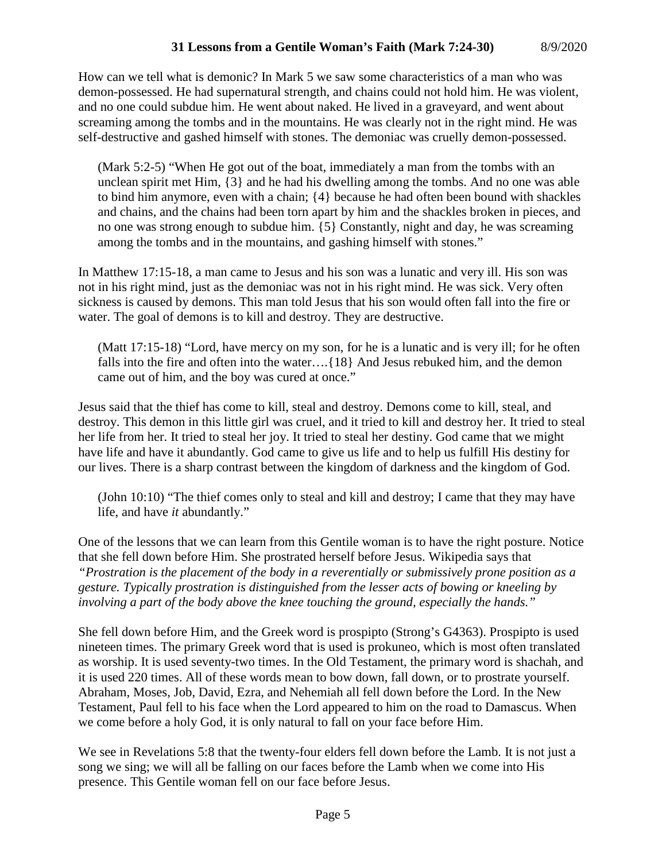# **31 Lessons from a Gentile Woman's Faith (Mark 7:24-30)** 8/9/2020

How can we tell what is demonic? In Mark 5 we saw some characteristics of a man who was demon-possessed. He had supernatural strength, and chains could not hold him. He was violent, and no one could subdue him. He went about naked. He lived in a graveyard, and went about screaming among the tombs and in the mountains. He was clearly not in the right mind. He was self-destructive and gashed himself with stones. The demoniac was cruelly demon-possessed.

(Mark 5:2-5) "When He got out of the boat, immediately a man from the tombs with an unclean spirit met Him, {3} and he had his dwelling among the tombs. And no one was able to bind him anymore, even with a chain; {4} because he had often been bound with shackles and chains, and the chains had been torn apart by him and the shackles broken in pieces, and no one was strong enough to subdue him. {5} Constantly, night and day, he was screaming among the tombs and in the mountains, and gashing himself with stones."

In Matthew 17:15-18, a man came to Jesus and his son was a lunatic and very ill. His son was not in his right mind, just as the demoniac was not in his right mind. He was sick. Very often sickness is caused by demons. This man told Jesus that his son would often fall into the fire or water. The goal of demons is to kill and destroy. They are destructive.

(Matt 17:15-18) "Lord, have mercy on my son, for he is a lunatic and is very ill; for he often falls into the fire and often into the water….{18} And Jesus rebuked him, and the demon came out of him, and the boy was cured at once."

Jesus said that the thief has come to kill, steal and destroy. Demons come to kill, steal, and destroy. This demon in this little girl was cruel, and it tried to kill and destroy her. It tried to steal her life from her. It tried to steal her joy. It tried to steal her destiny. God came that we might have life and have it abundantly. God came to give us life and to help us fulfill His destiny for our lives. There is a sharp contrast between the kingdom of darkness and the kingdom of God.

(John 10:10) "The thief comes only to steal and kill and destroy; I came that they may have life, and have *it* abundantly."

One of the lessons that we can learn from this Gentile woman is to have the right posture. Notice that she fell down before Him. She prostrated herself before Jesus. Wikipedia says that *"Prostration is the placement of the body in a reverentially or submissively prone position as a gesture. Typically prostration is distinguished from the lesser acts of bowing or kneeling by involving a part of the body above the knee touching the ground, especially the hands."*

She fell down before Him, and the Greek word is prospipto (Strong's G4363). Prospipto is used nineteen times. The primary Greek word that is used is prokuneo, which is most often translated as worship. It is used seventy-two times. In the Old Testament, the primary word is shachah, and it is used 220 times. All of these words mean to bow down, fall down, or to prostrate yourself. Abraham, Moses, Job, David, Ezra, and Nehemiah all fell down before the Lord. In the New Testament, Paul fell to his face when the Lord appeared to him on the road to Damascus. When we come before a holy God, it is only natural to fall on your face before Him.

We see in Revelations 5:8 that the twenty-four elders fell down before the Lamb. It is not just a song we sing; we will all be falling on our faces before the Lamb when we come into His presence. This Gentile woman fell on our face before Jesus.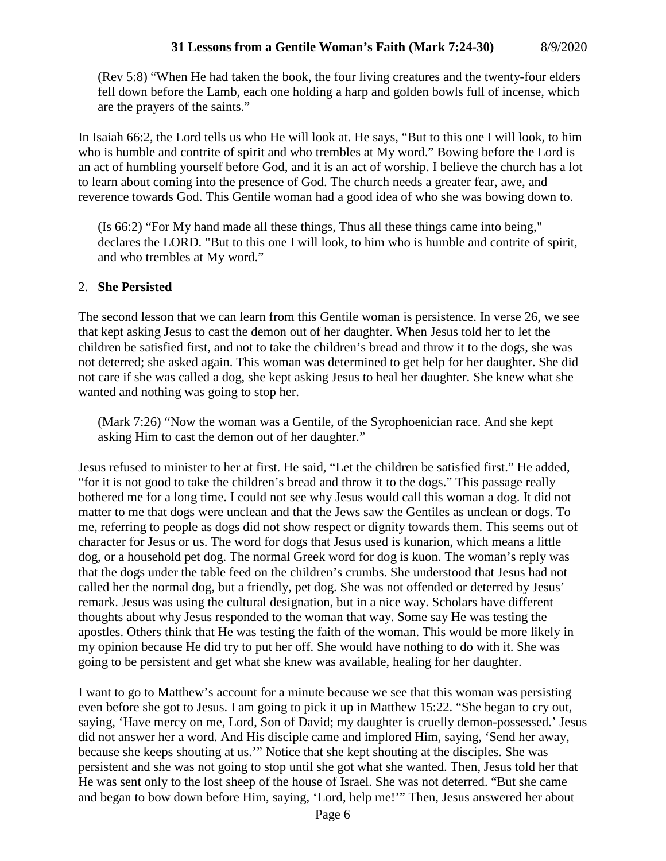(Rev 5:8) "When He had taken the book, the four living creatures and the twenty-four elders fell down before the Lamb, each one holding a harp and golden bowls full of incense, which are the prayers of the saints."

In Isaiah 66:2, the Lord tells us who He will look at. He says, "But to this one I will look, to him who is humble and contrite of spirit and who trembles at My word." Bowing before the Lord is an act of humbling yourself before God, and it is an act of worship. I believe the church has a lot to learn about coming into the presence of God. The church needs a greater fear, awe, and reverence towards God. This Gentile woman had a good idea of who she was bowing down to.

(Is 66:2) "For My hand made all these things, Thus all these things came into being," declares the LORD. "But to this one I will look, to him who is humble and contrite of spirit, and who trembles at My word."

# 2. **She Persisted**

The second lesson that we can learn from this Gentile woman is persistence. In verse 26, we see that kept asking Jesus to cast the demon out of her daughter. When Jesus told her to let the children be satisfied first, and not to take the children's bread and throw it to the dogs, she was not deterred; she asked again. This woman was determined to get help for her daughter. She did not care if she was called a dog, she kept asking Jesus to heal her daughter. She knew what she wanted and nothing was going to stop her.

(Mark 7:26) "Now the woman was a Gentile, of the Syrophoenician race. And she kept asking Him to cast the demon out of her daughter."

Jesus refused to minister to her at first. He said, "Let the children be satisfied first." He added, "for it is not good to take the children's bread and throw it to the dogs." This passage really bothered me for a long time. I could not see why Jesus would call this woman a dog. It did not matter to me that dogs were unclean and that the Jews saw the Gentiles as unclean or dogs. To me, referring to people as dogs did not show respect or dignity towards them. This seems out of character for Jesus or us. The word for dogs that Jesus used is kunarion, which means a little dog, or a household pet dog. The normal Greek word for dog is kuon. The woman's reply was that the dogs under the table feed on the children's crumbs. She understood that Jesus had not called her the normal dog, but a friendly, pet dog. She was not offended or deterred by Jesus' remark. Jesus was using the cultural designation, but in a nice way. Scholars have different thoughts about why Jesus responded to the woman that way. Some say He was testing the apostles. Others think that He was testing the faith of the woman. This would be more likely in my opinion because He did try to put her off. She would have nothing to do with it. She was going to be persistent and get what she knew was available, healing for her daughter.

I want to go to Matthew's account for a minute because we see that this woman was persisting even before she got to Jesus. I am going to pick it up in Matthew 15:22. "She began to cry out, saying, 'Have mercy on me, Lord, Son of David; my daughter is cruelly demon-possessed.' Jesus did not answer her a word. And His disciple came and implored Him, saying, 'Send her away, because she keeps shouting at us.'" Notice that she kept shouting at the disciples. She was persistent and she was not going to stop until she got what she wanted. Then, Jesus told her that He was sent only to the lost sheep of the house of Israel. She was not deterred. "But she came and began to bow down before Him, saying, 'Lord, help me!'" Then, Jesus answered her about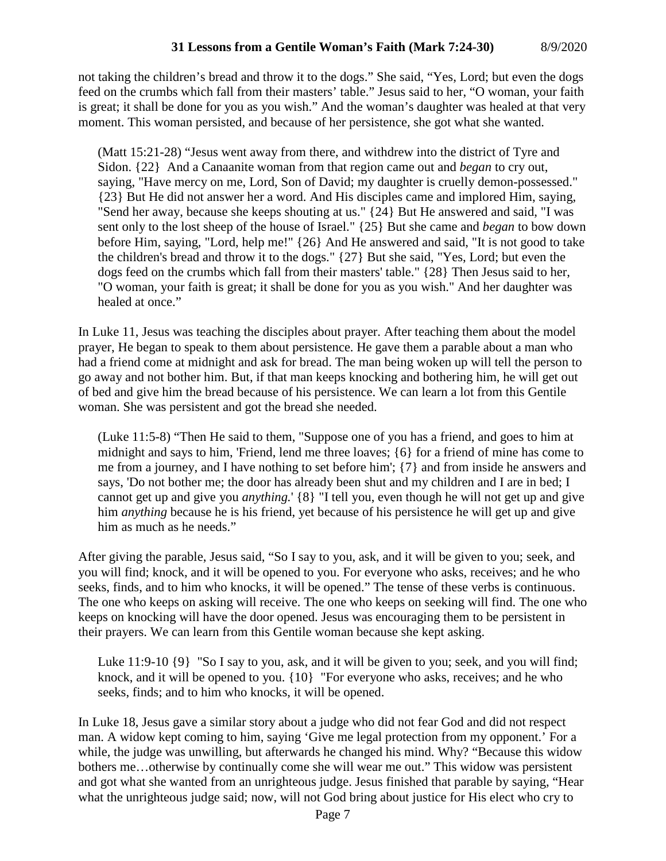not taking the children's bread and throw it to the dogs." She said, "Yes, Lord; but even the dogs feed on the crumbs which fall from their masters' table." Jesus said to her, "O woman, your faith is great; it shall be done for you as you wish." And the woman's daughter was healed at that very moment. This woman persisted, and because of her persistence, she got what she wanted.

(Matt 15:21-28) "Jesus went away from there, and withdrew into the district of Tyre and Sidon. {22} And a Canaanite woman from that region came out and *began* to cry out, saying, "Have mercy on me, Lord, Son of David; my daughter is cruelly demon-possessed." {23} But He did not answer her a word. And His disciples came and implored Him, saying, "Send her away, because she keeps shouting at us." {24} But He answered and said, "I was sent only to the lost sheep of the house of Israel." {25} But she came and *began* to bow down before Him, saying, "Lord, help me!" {26} And He answered and said, "It is not good to take the children's bread and throw it to the dogs." {27} But she said, "Yes, Lord; but even the dogs feed on the crumbs which fall from their masters' table." {28} Then Jesus said to her, "O woman, your faith is great; it shall be done for you as you wish." And her daughter was healed at once."

In Luke 11, Jesus was teaching the disciples about prayer. After teaching them about the model prayer, He began to speak to them about persistence. He gave them a parable about a man who had a friend come at midnight and ask for bread. The man being woken up will tell the person to go away and not bother him. But, if that man keeps knocking and bothering him, he will get out of bed and give him the bread because of his persistence. We can learn a lot from this Gentile woman. She was persistent and got the bread she needed.

(Luke 11:5-8) "Then He said to them, "Suppose one of you has a friend, and goes to him at midnight and says to him, 'Friend, lend me three loaves; {6} for a friend of mine has come to me from a journey, and I have nothing to set before him'; {7} and from inside he answers and says, 'Do not bother me; the door has already been shut and my children and I are in bed; I cannot get up and give you *anything.*' {8} "I tell you, even though he will not get up and give him *anything* because he is his friend, yet because of his persistence he will get up and give him as much as he needs."

After giving the parable, Jesus said, "So I say to you, ask, and it will be given to you; seek, and you will find; knock, and it will be opened to you. For everyone who asks, receives; and he who seeks, finds, and to him who knocks, it will be opened." The tense of these verbs is continuous. The one who keeps on asking will receive. The one who keeps on seeking will find. The one who keeps on knocking will have the door opened. Jesus was encouraging them to be persistent in their prayers. We can learn from this Gentile woman because she kept asking.

Luke 11:9-10 {9} "So I say to you, ask, and it will be given to you; seek, and you will find; knock, and it will be opened to you. {10} "For everyone who asks, receives; and he who seeks, finds; and to him who knocks, it will be opened.

In Luke 18, Jesus gave a similar story about a judge who did not fear God and did not respect man. A widow kept coming to him, saying 'Give me legal protection from my opponent.' For a while, the judge was unwilling, but afterwards he changed his mind. Why? "Because this widow bothers me…otherwise by continually come she will wear me out." This widow was persistent and got what she wanted from an unrighteous judge. Jesus finished that parable by saying, "Hear what the unrighteous judge said; now, will not God bring about justice for His elect who cry to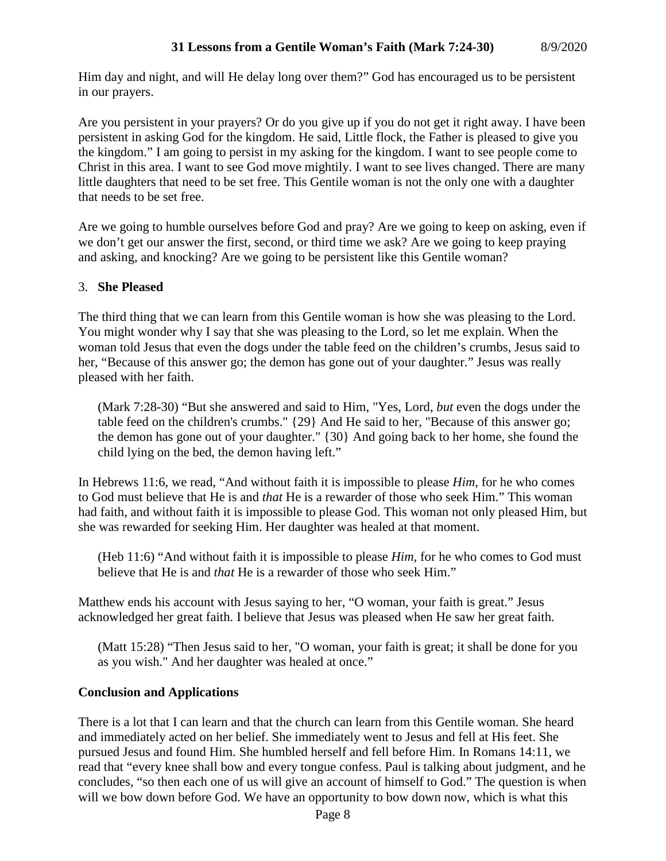Him day and night, and will He delay long over them?" God has encouraged us to be persistent in our prayers.

Are you persistent in your prayers? Or do you give up if you do not get it right away. I have been persistent in asking God for the kingdom. He said, Little flock, the Father is pleased to give you the kingdom." I am going to persist in my asking for the kingdom. I want to see people come to Christ in this area. I want to see God move mightily. I want to see lives changed. There are many little daughters that need to be set free. This Gentile woman is not the only one with a daughter that needs to be set free.

Are we going to humble ourselves before God and pray? Are we going to keep on asking, even if we don't get our answer the first, second, or third time we ask? Are we going to keep praying and asking, and knocking? Are we going to be persistent like this Gentile woman?

# 3. **She Pleased**

The third thing that we can learn from this Gentile woman is how she was pleasing to the Lord. You might wonder why I say that she was pleasing to the Lord, so let me explain. When the woman told Jesus that even the dogs under the table feed on the children's crumbs, Jesus said to her, "Because of this answer go; the demon has gone out of your daughter." Jesus was really pleased with her faith.

(Mark 7:28-30) "But she answered and said to Him, "Yes, Lord, *but* even the dogs under the table feed on the children's crumbs." {29} And He said to her, "Because of this answer go; the demon has gone out of your daughter." {30} And going back to her home, she found the child lying on the bed, the demon having left."

In Hebrews 11:6, we read, "And without faith it is impossible to please *Him,* for he who comes to God must believe that He is and *that* He is a rewarder of those who seek Him." This woman had faith, and without faith it is impossible to please God. This woman not only pleased Him, but she was rewarded for seeking Him. Her daughter was healed at that moment.

(Heb 11:6) "And without faith it is impossible to please *Him,* for he who comes to God must believe that He is and *that* He is a rewarder of those who seek Him."

Matthew ends his account with Jesus saying to her, "O woman, your faith is great." Jesus acknowledged her great faith. I believe that Jesus was pleased when He saw her great faith.

(Matt 15:28) "Then Jesus said to her, "O woman, your faith is great; it shall be done for you as you wish." And her daughter was healed at once."

# **Conclusion and Applications**

There is a lot that I can learn and that the church can learn from this Gentile woman. She heard and immediately acted on her belief. She immediately went to Jesus and fell at His feet. She pursued Jesus and found Him. She humbled herself and fell before Him. In Romans 14:11, we read that "every knee shall bow and every tongue confess. Paul is talking about judgment, and he concludes, "so then each one of us will give an account of himself to God." The question is when will we bow down before God. We have an opportunity to bow down now, which is what this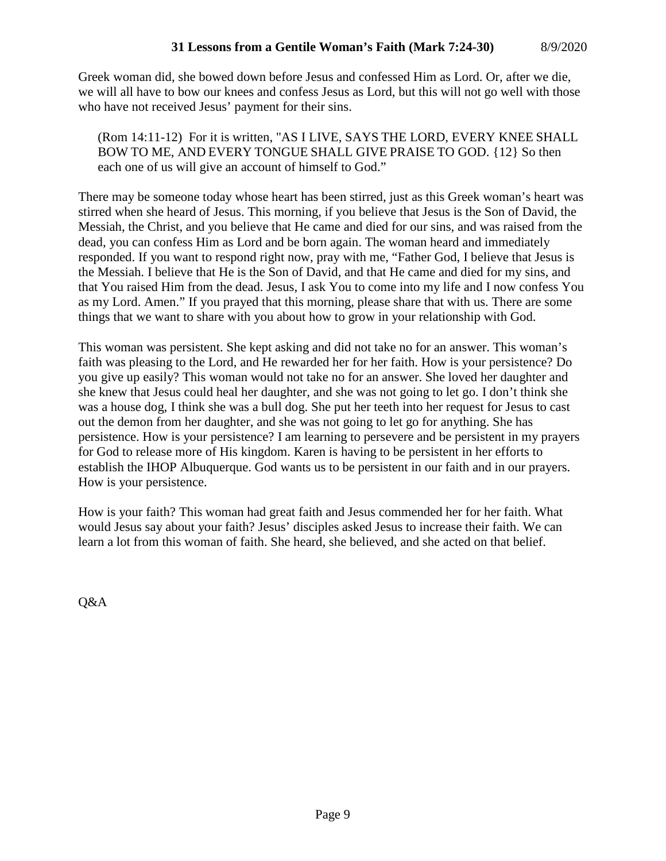Greek woman did, she bowed down before Jesus and confessed Him as Lord. Or, after we die, we will all have to bow our knees and confess Jesus as Lord, but this will not go well with those who have not received Jesus' payment for their sins.

(Rom 14:11-12) For it is written, "AS I LIVE, SAYS THE LORD, EVERY KNEE SHALL BOW TO ME, AND EVERY TONGUE SHALL GIVE PRAISE TO GOD. {12} So then each one of us will give an account of himself to God."

There may be someone today whose heart has been stirred, just as this Greek woman's heart was stirred when she heard of Jesus. This morning, if you believe that Jesus is the Son of David, the Messiah, the Christ, and you believe that He came and died for our sins, and was raised from the dead, you can confess Him as Lord and be born again. The woman heard and immediately responded. If you want to respond right now, pray with me, "Father God, I believe that Jesus is the Messiah. I believe that He is the Son of David, and that He came and died for my sins, and that You raised Him from the dead. Jesus, I ask You to come into my life and I now confess You as my Lord. Amen." If you prayed that this morning, please share that with us. There are some things that we want to share with you about how to grow in your relationship with God.

This woman was persistent. She kept asking and did not take no for an answer. This woman's faith was pleasing to the Lord, and He rewarded her for her faith. How is your persistence? Do you give up easily? This woman would not take no for an answer. She loved her daughter and she knew that Jesus could heal her daughter, and she was not going to let go. I don't think she was a house dog, I think she was a bull dog. She put her teeth into her request for Jesus to cast out the demon from her daughter, and she was not going to let go for anything. She has persistence. How is your persistence? I am learning to persevere and be persistent in my prayers for God to release more of His kingdom. Karen is having to be persistent in her efforts to establish the IHOP Albuquerque. God wants us to be persistent in our faith and in our prayers. How is your persistence.

How is your faith? This woman had great faith and Jesus commended her for her faith. What would Jesus say about your faith? Jesus' disciples asked Jesus to increase their faith. We can learn a lot from this woman of faith. She heard, she believed, and she acted on that belief.

Q&A